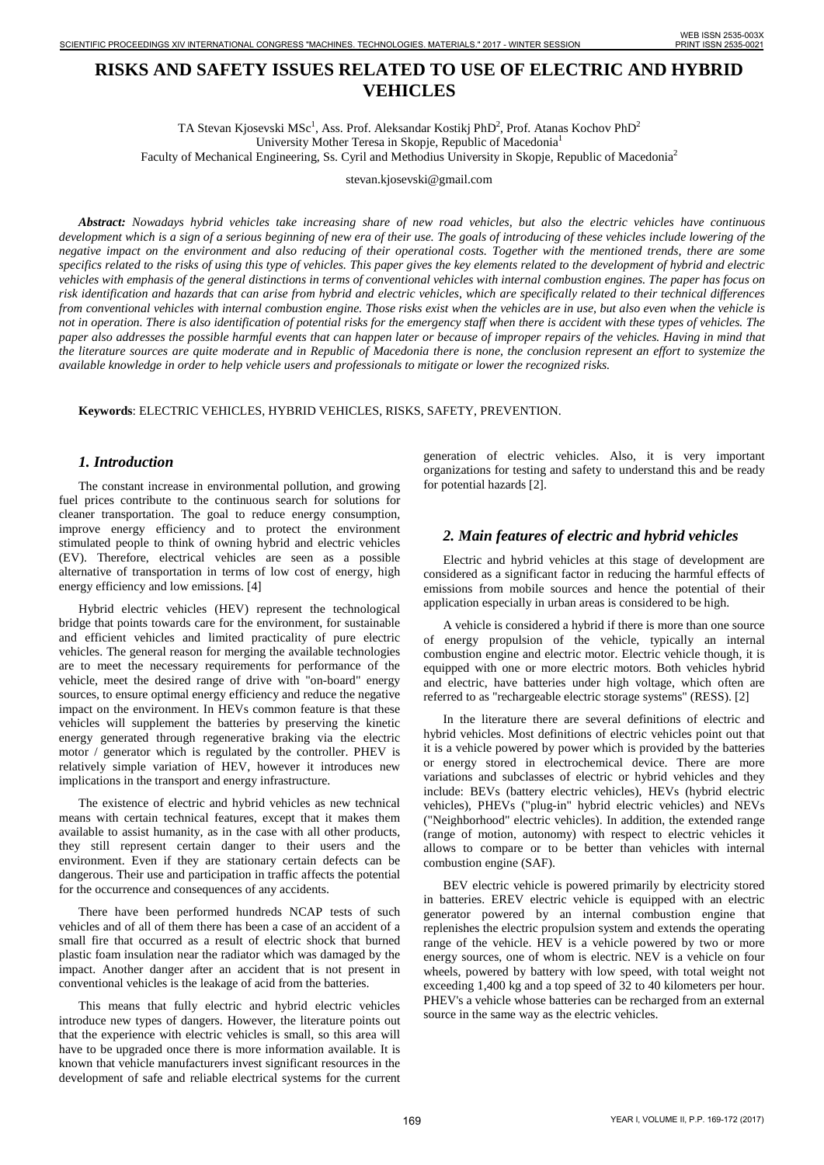# **RISKS AND SAFETY ISSUES RELATED TO USE OF ELECTRIC AND HYBRID VEHICLES**

TA Stevan Kjosevski MSc<sup>1</sup>, Ass. Prof. Aleksandar Kostikj PhD<sup>2</sup>, Prof. Atanas Kochov PhD<sup>2</sup> University Mother Teresa in Skopje, Republic of Macedonia1 Faculty of Mechanical Engineering, Ss. Cyril and Methodius University in Skopje, Republic of Macedonia2

stevan.kjosevski@gmail.com

*Abstract: Nowadays hybrid vehicles take increasing share of new road vehicles, but also the electric vehicles have continuous development which is a sign of a serious beginning of new era of their use. The goals of introducing of these vehicles include lowering of the negative impact on the environment and also reducing of their operational costs. Together with the mentioned trends, there are some specifics related to the risks of using this type of vehicles. This paper gives the key elements related to the development of hybrid and electric vehicles with emphasis of the general distinctions in terms of conventional vehicles with internal combustion engines. The paper has focus on risk identification and hazards that can arise from hybrid and electric vehicles, which are specifically related to their technical differences from conventional vehicles with internal combustion engine. Those risks exist when the vehicles are in use, but also even when the vehicle is not in operation. There is also identification of potential risks for the emergency staff when there is accident with these types of vehicles. The paper also addresses the possible harmful events that can happen later or because of improper repairs of the vehicles. Having in mind that the literature sources are quite moderate and in Republic of Macedonia there is none, the conclusion represent an effort to systemize the available knowledge in order to help vehicle users and professionals to mitigate or lower the recognized risks.* **EXERCISE AND SAFETY ISSUES BELATED TO USE OF ELECTRICAND ISSN 2018.**<br>
The subset of the subset of the subset of the subset of the subset of the subset of the subset of the subset of the subset of the subset of the subset

**Keywords**: ELECTRIC VEHICLES, HYBRID VEHICLES, RISKS, SAFETY, PREVENTION.

### *1. Introduction*

The constant increase in environmental pollution, and growing fuel prices contribute to the continuous search for solutions for cleaner transportation. The goal to reduce energy consumption, improve energy efficiency and to protect the environment stimulated people to think of owning hybrid and electric vehicles (EV). Therefore, electrical vehicles are seen as a possible alternative of transportation in terms of low cost of energy, high energy efficiency and low emissions. [4]

Hybrid electric vehicles (HEV) represent the technological bridge that points towards care for the environment, for sustainable and efficient vehicles and limited practicality of pure electric vehicles. The general reason for merging the available technologies are to meet the necessary requirements for performance of the vehicle, meet the desired range of drive with "on-board" energy sources, to ensure optimal energy efficiency and reduce the negative impact on the environment. In HEVs common feature is that these vehicles will supplement the batteries by preserving the kinetic energy generated through regenerative braking via the electric motor / generator which is regulated by the controller. PHEV is relatively simple variation of HEV, however it introduces new implications in the transport and energy infrastructure.

The existence of electric and hybrid vehicles as new technical means with certain technical features, except that it makes them available to assist humanity, as in the case with all other products, they still represent certain danger to their users and the environment. Even if they are stationary certain defects can be dangerous. Their use and participation in traffic affects the potential for the occurrence and consequences of any accidents.

There have been performed hundreds NCAP tests of such vehicles and of all of them there has been a case of an accident of a small fire that occurred as a result of electric shock that burned plastic foam insulation near the radiator which was damaged by the impact. Another danger after an accident that is not present in conventional vehicles is the leakage of acid from the batteries.

This means that fully electric and hybrid electric vehicles introduce new types of dangers. However, the literature points out that the experience with electric vehicles is small, so this area will have to be upgraded once there is more information available. It is known that vehicle manufacturers invest significant resources in the development of safe and reliable electrical systems for the current generation of electric vehicles. Also, it is very important organizations for testing and safety to understand this and be ready for potential hazards [2].

### *2. Main features of electric and hybrid vehicles*

Electric and hybrid vehicles at this stage of development are considered as a significant factor in reducing the harmful effects of emissions from mobile sources and hence the potential of their application especially in urban areas is considered to be high.

A vehicle is considered a hybrid if there is more than one source of energy propulsion of the vehicle, typically an internal combustion engine and electric motor. Electric vehicle though, it is equipped with one or more electric motors. Both vehicles hybrid and electric, have batteries under high voltage, which often are referred to as "rechargeable electric storage systems" (RESS). [2]

In the literature there are several definitions of electric and hybrid vehicles. Most definitions of electric vehicles point out that it is a vehicle powered by power which is provided by the batteries or energy stored in electrochemical device. There are more variations and subclasses of electric or hybrid vehicles and they include: BEVs (battery electric vehicles), HEVs (hybrid electric vehicles), PHEVs ("plug-in" hybrid electric vehicles) and NEVs ("Neighborhood" electric vehicles). In addition, the extended range (range of motion, autonomy) with respect to electric vehicles it allows to compare or to be better than vehicles with internal combustion engine (SAF).

BEV electric vehicle is powered primarily by electricity stored in batteries. EREV electric vehicle is equipped with an electric generator powered by an internal combustion engine that replenishes the electric propulsion system and extends the operating range of the vehicle. HEV is a vehicle powered by two or more energy sources, one of whom is electric. NEV is a vehicle on four wheels, powered by battery with low speed, with total weight not exceeding 1,400 kg and a top speed of 32 to 40 kilometers per hour. PHEV's a vehicle whose batteries can be recharged from an external source in the same way as the electric vehicles.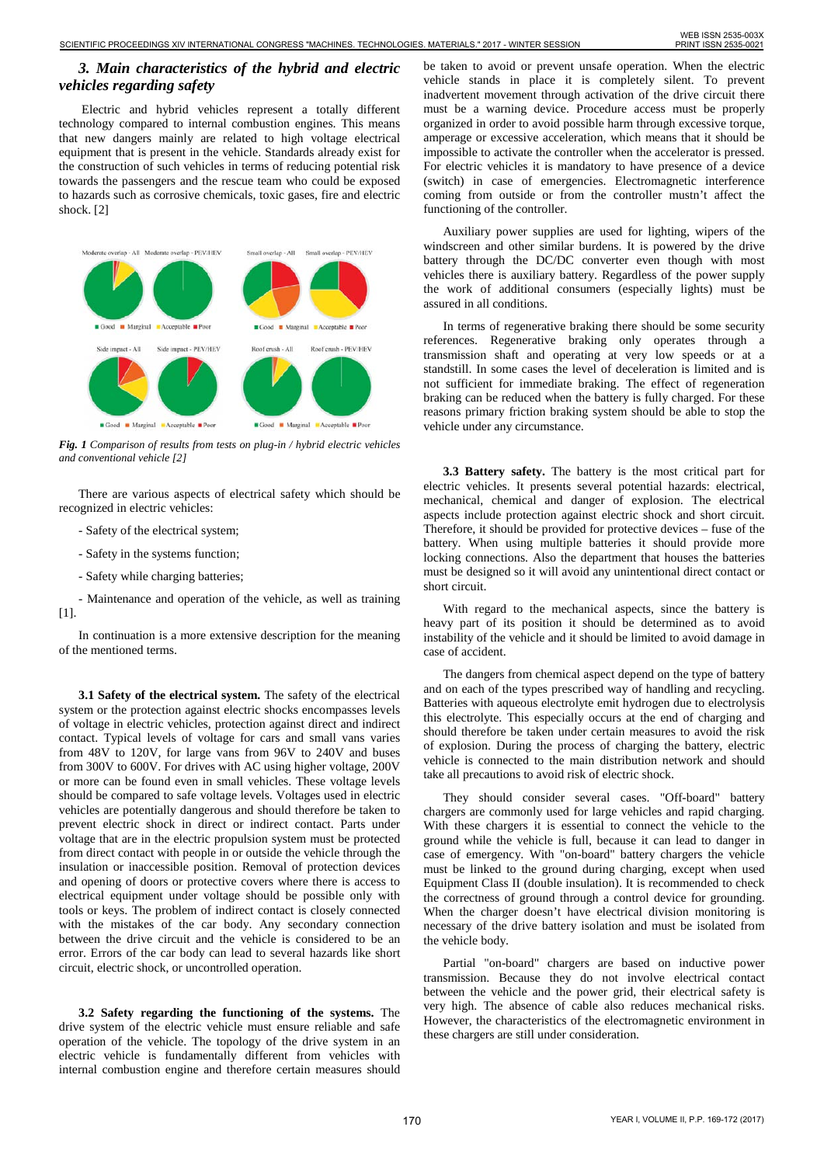## *3. Main characteristics of the hybrid and electric vehicles regarding safety*

Electric and hybrid vehicles represent a totally different technology compared to internal combustion engines. This means that new dangers mainly are related to high voltage electrical equipment that is present in the vehicle. Standards already exist for the construction of such vehicles in terms of reducing potential risk towards the passengers and the rescue team who could be exposed to hazards such as corrosive chemicals, toxic gases, fire and electric shock. [2]



*Fig. 1 Comparison of results from tests on plug-in / hybrid electric vehicles and conventional vehicle [2]*

There are various aspects of electrical safety which should be recognized in electric vehicles:

- Safety of the electrical system;
- Safety in the systems function;
- Safety while charging batteries;

- Maintenance and operation of the vehicle, as well as training [1].

In continuation is a more extensive description for the meaning of the mentioned terms.

**3.1 Safety of the electrical system.** The safety of the electrical system or the protection against electric shocks encompasses levels of voltage in electric vehicles, protection against direct and indirect contact. Typical levels of voltage for cars and small vans varies from 48V to 120V, for large vans from 96V to 240V and buses from 300V to 600V. For drives with AC using higher voltage, 200V or more can be found even in small vehicles. These voltage levels should be compared to safe voltage levels. Voltages used in electric vehicles are potentially dangerous and should therefore be taken to prevent electric shock in direct or indirect contact. Parts under voltage that are in the electric propulsion system must be protected from direct contact with people in or outside the vehicle through the insulation or inaccessible position. Removal of protection devices and opening of doors or protective covers where there is access to electrical equipment under voltage should be possible only with tools or keys. The problem of indirect contact is closely connected with the mistakes of the car body. Any secondary connection between the drive circuit and the vehicle is considered to be an error. Errors of the car body can lead to several hazards like short circuit, electric shock, or uncontrolled operation. 170 SCIENTIFIC PROCEEDINGS XIV INTERNATIONAL CONGRESS "MACHINES. TECHNOLОGIES. MATERIALS." 2017 - WINTER SESSION WEB ISSN 2535-003X

**3.2 Safety regarding the functioning of the systems.** The drive system of the electric vehicle must ensure reliable and safe operation of the vehicle. The topology of the drive system in an electric vehicle is fundamentally different from vehicles with internal combustion engine and therefore certain measures should be taken to avoid or prevent unsafe operation. When the electric vehicle stands in place it is completely silent. To prevent inadvertent movement through activation of the drive circuit there must be a warning device. Procedure access must be properly organized in order to avoid possible harm through excessive torque, amperage or excessive acceleration, which means that it should be impossible to activate the controller when the accelerator is pressed. For electric vehicles it is mandatory to have presence of a device (switch) in case of emergencies. Electromagnetic interference coming from outside or from the controller mustn't affect the functioning of the controller.

Auxiliary power supplies are used for lighting, wipers of the windscreen and other similar burdens. It is powered by the drive battery through the DC/DC converter even though with most vehicles there is auxiliary battery. Regardless of the power supply the work of additional consumers (especially lights) must be assured in all conditions.

In terms of regenerative braking there should be some security references. Regenerative braking only operates through a transmission shaft and operating at very low speeds or at a standstill. In some cases the level of deceleration is limited and is not sufficient for immediate braking. The effect of regeneration braking can be reduced when the battery is fully charged. For these reasons primary friction braking system should be able to stop the vehicle under any circumstance.

**3.3 Battery safety.** The battery is the most critical part for electric vehicles. It presents several potential hazards: electrical, mechanical, chemical and danger of explosion. The electrical aspects include protection against electric shock and short circuit. Therefore, it should be provided for protective devices – fuse of the battery. When using multiple batteries it should provide more locking connections. Also the department that houses the batteries must be designed so it will avoid any unintentional direct contact or short circuit.

With regard to the mechanical aspects, since the battery is heavy part of its position it should be determined as to avoid instability of the vehicle and it should be limited to avoid damage in case of accident.

The dangers from chemical aspect depend on the type of battery and on each of the types prescribed way of handling and recycling. Batteries with aqueous electrolyte emit hydrogen due to electrolysis this electrolyte. This especially occurs at the end of charging and should therefore be taken under certain measures to avoid the risk of explosion. During the process of charging the battery, electric vehicle is connected to the main distribution network and should take all precautions to avoid risk of electric shock.

They should consider several cases. "Off-board" battery chargers are commonly used for large vehicles and rapid charging. With these chargers it is essential to connect the vehicle to the ground while the vehicle is full, because it can lead to danger in case of emergency. With "on-board" battery chargers the vehicle must be linked to the ground during charging, except when used Equipment Class II (double insulation). It is recommended to check the correctness of ground through a control device for grounding. When the charger doesn't have electrical division monitoring is necessary of the drive battery isolation and must be isolated from the vehicle body.

Partial "on-board" chargers are based on inductive power transmission. Because they do not involve electrical contact between the vehicle and the power grid, their electrical safety is very high. The absence of cable also reduces mechanical risks. However, the characteristics of the electromagnetic environment in these chargers are still under consideration.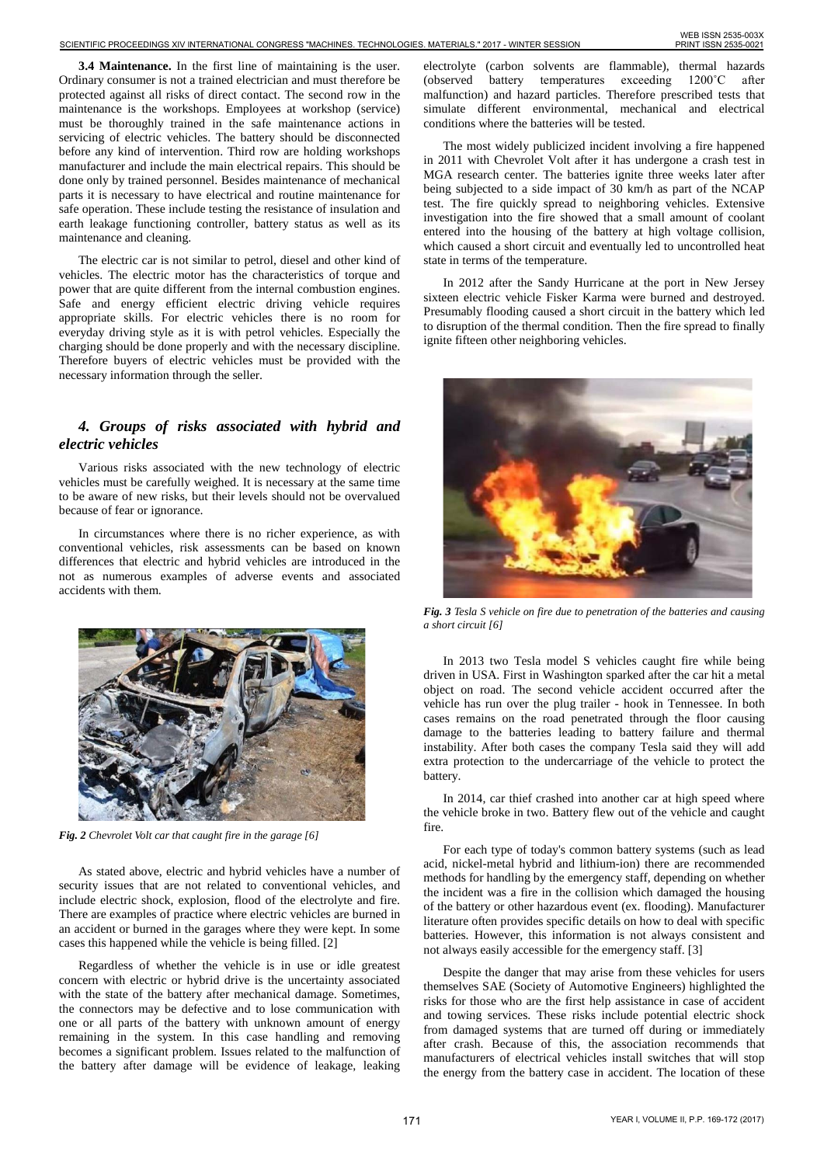**3.4 Maintenance.** In the first line of maintaining is the user. Ordinary consumer is not a trained electrician and must therefore be protected against all risks of direct contact. The second row in the maintenance is the workshops. Employees at workshop (service) must be thoroughly trained in the safe maintenance actions in servicing of electric vehicles. The battery should be disconnected before any kind of intervention. Third row are holding workshops manufacturer and include the main electrical repairs. This should be done only by trained personnel. Besides maintenance of mechanical parts it is necessary to have electrical and routine maintenance for safe operation. These include testing the resistance of insulation and earth leakage functioning controller, battery status as well as its maintenance and cleaning.

The electric car is not similar to petrol, diesel and other kind of vehicles. The electric motor has the characteristics of torque and power that are quite different from the internal combustion engines. Safe and energy efficient electric driving vehicle requires appropriate skills. For electric vehicles there is no room for everyday driving style as it is with petrol vehicles. Especially the charging should be done properly and with the necessary discipline. Therefore buyers of electric vehicles must be provided with the necessary information through the seller.

### *4. Groups of risks associated with hybrid and electric vehicles*

Various risks associated with the new technology of electric vehicles must be carefully weighed. It is necessary at the same time to be aware of new risks, but their levels should not be overvalued because of fear or ignorance.

In circumstances where there is no richer experience, as with conventional vehicles, risk assessments can be based on known differences that electric and hybrid vehicles are introduced in the not as numerous examples of adverse events and associated accidents with them.



*Fig. 2 Chevrolet Volt car that caught fire in the garage [6]*

As stated above, electric and hybrid vehicles have a number of security issues that are not related to conventional vehicles, and include electric shock, explosion, flood of the electrolyte and fire. There are examples of practice where electric vehicles are burned in an accident or burned in the garages where they were kept. In some cases this happened while the vehicle is being filled. [2]

Regardless of whether the vehicle is in use or idle greatest concern with electric or hybrid drive is the uncertainty associated with the state of the battery after mechanical damage. Sometimes, the connectors may be defective and to lose communication with one or all parts of the battery with unknown amount of energy remaining in the system. In this case handling and removing becomes a significant problem. Issues related to the malfunction of the battery after damage will be evidence of leakage, leaking

electrolyte (carbon solvents are flammable), thermal hazards (observed battery temperatures exceeding 1200˚C after malfunction) and hazard particles. Therefore prescribed tests that simulate different environmental, mechanical and electrical conditions where the batteries will be tested.

The most widely publicized incident involving a fire happened in 2011 with Chevrolet Volt after it has undergone a crash test in MGA research center. The batteries ignite three weeks later after being subjected to a side impact of 30 km/h as part of the NCAP test. The fire quickly spread to neighboring vehicles. Extensive investigation into the fire showed that a small amount of coolant entered into the housing of the battery at high voltage collision, which caused a short circuit and eventually led to uncontrolled heat state in terms of the temperature.

In 2012 after the Sandy Hurricane at the port in New Jersey sixteen electric vehicle Fisker Karma were burned and destroyed. Presumably flooding caused a short circuit in the battery which led to disruption of the thermal condition. Then the fire spread to finally ignite fifteen other neighboring vehicles.



*Fig. 3 Tesla S vehicle on fire due to penetration of the batteries and causing a short circuit [6]*

In 2013 two Tesla model S vehicles caught fire while being driven in USA. First in Washington sparked after the car hit a metal object on road. The second vehicle accident occurred after the vehicle has run over the plug trailer - hook in Tennessee. In both cases remains on the road penetrated through the floor causing damage to the batteries leading to battery failure and thermal instability. After both cases the company Tesla said they will add extra protection to the undercarriage of the vehicle to protect the battery.

In 2014, car thief crashed into another car at high speed where the vehicle broke in two. Battery flew out of the vehicle and caught fire.

For each type of today's common battery systems (such as lead acid, nickel-metal hybrid and lithium-ion) there are recommended methods for handling by the emergency staff, depending on whether the incident was a fire in the collision which damaged the housing of the battery or other hazardous event (ex. flooding). Manufacturer literature often provides specific details on how to deal with specific batteries. However, this information is not always consistent and not always easily accessible for the emergency staff. [3]

Despite the danger that may arise from these vehicles for users themselves SAE (Society of Automotive Engineers) highlighted the risks for those who are the first help assistance in case of accident and towing services. These risks include potential electric shock from damaged systems that are turned off during or immediately after crash. Because of this, the association recommends that manufacturers of electrical vehicles install switches that will stop the energy from the battery case in accident. The location of these